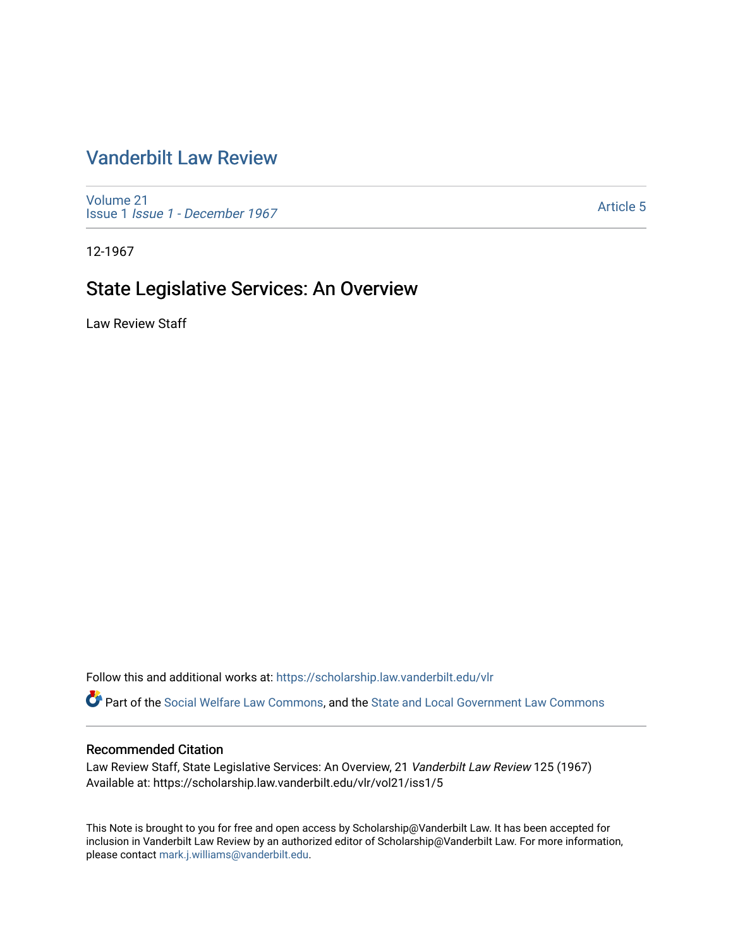## [Vanderbilt Law Review](https://scholarship.law.vanderbilt.edu/vlr)

[Volume 21](https://scholarship.law.vanderbilt.edu/vlr/vol21) Issue 1 [Issue 1 - December 1967](https://scholarship.law.vanderbilt.edu/vlr/vol21/iss1) 

[Article 5](https://scholarship.law.vanderbilt.edu/vlr/vol21/iss1/5) 

12-1967

# State Legislative Services: An Overview

Law Review Staff

Follow this and additional works at: [https://scholarship.law.vanderbilt.edu/vlr](https://scholarship.law.vanderbilt.edu/vlr?utm_source=scholarship.law.vanderbilt.edu%2Fvlr%2Fvol21%2Fiss1%2F5&utm_medium=PDF&utm_campaign=PDFCoverPages)

Part of the [Social Welfare Law Commons](http://network.bepress.com/hgg/discipline/878?utm_source=scholarship.law.vanderbilt.edu%2Fvlr%2Fvol21%2Fiss1%2F5&utm_medium=PDF&utm_campaign=PDFCoverPages), and the [State and Local Government Law Commons](http://network.bepress.com/hgg/discipline/879?utm_source=scholarship.law.vanderbilt.edu%2Fvlr%2Fvol21%2Fiss1%2F5&utm_medium=PDF&utm_campaign=PDFCoverPages)

#### Recommended Citation

Law Review Staff, State Legislative Services: An Overview, 21 Vanderbilt Law Review 125 (1967) Available at: https://scholarship.law.vanderbilt.edu/vlr/vol21/iss1/5

This Note is brought to you for free and open access by Scholarship@Vanderbilt Law. It has been accepted for inclusion in Vanderbilt Law Review by an authorized editor of Scholarship@Vanderbilt Law. For more information, please contact [mark.j.williams@vanderbilt.edu.](mailto:mark.j.williams@vanderbilt.edu)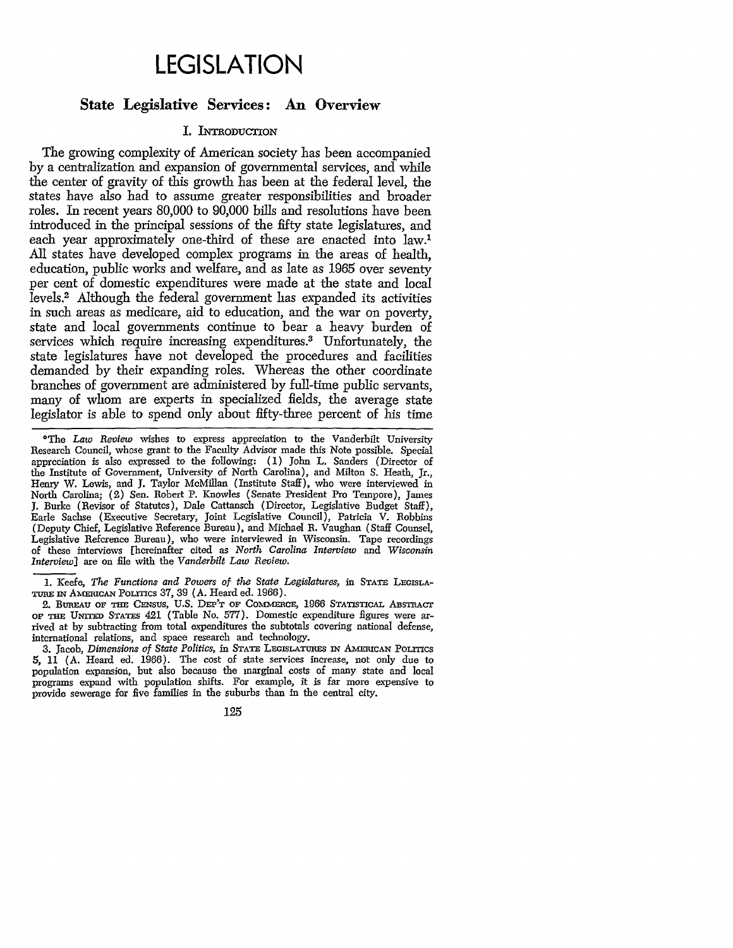# **LEGISLATION**

### **State Legislative Services: An Overview**

#### **I. INTRODUCTION**

The growing complexity of American society has been accompanied by a centralization and expansion of governmental services, and while the center of gravity of this growth has been at the federal level, the states have also had to assume greater responsibilities and broader roles. In recent years 80,000 to 90,000 bills and resolutions have been introduced in the principal sessions of the fifty state legislatures, and each year approximately one-third of these are enacted into law.<sup>1</sup> All states have developed complex programs in the areas of health, education, public works and welfare, and as late as 1965 over seventy per cent of domestic expenditures were made at the state and local levels.2 Although the federal government has expanded its activities in such areas as medicare, aid to education, and the war on poverty, state and local governments continue to bear a heavy burden of services which require increasing expenditures.<sup>3</sup> Unfortunately, the state legislatures have not developed the procedures and facilities demanded by their expanding roles. Whereas the other coordinate branches of government are administered by full-time public servants, many of whom are experts in specialized fields, the average state legislator is able to spend only about fifty-three percent of his time

1. Keefe, *The Functions and Powers of the State Legislatures,* in **STATE LEGISLA-**TURE IN AMERICAN POLITICS 37, 39 (A. Heard ed. 1966).

2. BUREAU OF **THE** CENsus, U.S. DEP'T **OF** COMMERCE, 1966 STATSTICAL ABsmACT or THE UNITED STATES 421 (Table No. 577). Domestic expenditure figures were arrived at by subtracting from total expenditures the subtotals covering national defense, international relations, and space research and technology.

**3.** Jacob, *Dimensions of State Politics,* in **STATE LEGISLATuRES** IN AMERICAN PoLmcs 5, 11 (A. Heard ed. 1966). The cost of state services increase, not only due to population expansion, but also because the marginal costs of many state and local programs expand with population shifts. For example, it is far more expensive to provide sewerage for five families in the suburbs than in the central city.

**125**

<sup>&</sup>lt;sup>o</sup>The *Law Review* wishes to express appreciation to the Vanderbilt University Research Council, whose grant to the Faculty Advisor made this Note possible. Special appreciation is also expressed to the following: (1) John L. Sanders (Director of the Institute of Government, University of North Carolina), and Milton S. Heath, Jr., Henry W. Lewis, and J. Taylor McMillan (Institute Staff), who were interviewed in North Carolina; (2) Sen. Robert P. Knowles (Senate President Pro Tempore), James **J.** Burke (Revisor of Statutes), Dale Cattansch (Director, Legislative Budget Staff), Earle Sachse (Executive Secretary, Joint Legislative Council), Patricia V. Robbins (Deputy Chief, Legislative Reference Bureau), and Michael R. Vaughan (Staff Counsel, Legislative Reference Bureau), who were interviewed in Wisconsin. Tape recordings of these interviews [hereinafter cited as *North Carolina Interview and Wisconsin Interview]* are on file with the *Vanderbilt Law Review.*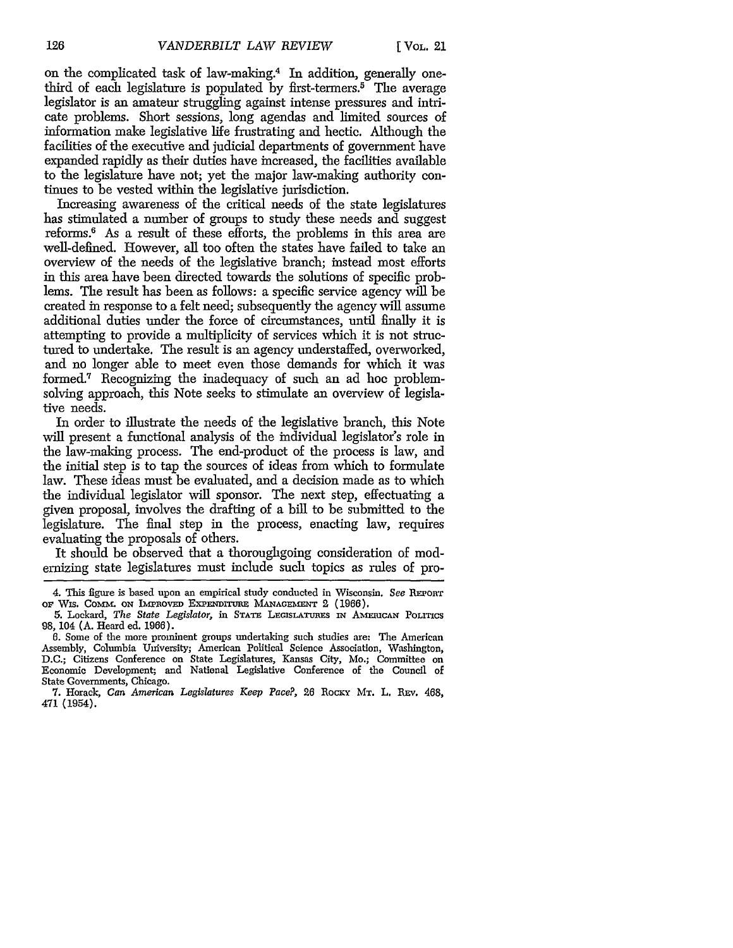on the complicated task of law-making.4 In addition, generally onethird of each legislature is populated by first-termers.<sup>5</sup> The average legislator is an amateur struggling against intense pressures and intricate problems. Short sessions, long agendas and limited sources of information make legislative life frustrating and hectic. Although the facilities of the executive and judicial departments of government have expanded rapidly as their duties have increased, the facilities available to the legislature have not; yet the major law-making authority continues to be vested within the legislative jurisdiction.

Increasing awareness of the critical needs of the state legislatures has stimulated a number of groups to study these needs and suggest reforms.6 As a result of these efforts, the problems in this area are well-defined. However, all too often the states have failed to take an overview of the needs of the legislative branch; instead most efforts in this area have been directed towards the solutions of specific problems. The result has been as follows: a specific service agency will be created in response to a felt need; subsequently the agency will assume additional duties under the force of circumstances, until finally it is attempting to provide a multiplicity of services which it is not structured to undertake. The result is an agency understaffed, overworked, and no longer able to meet even those demands for which it was formed.<sup>7</sup> Recognizing the inadequacy of such an ad hoc problemsolving approach, this Note seeks to stimulate an overview of legislative needs.

In order to illustrate the needs of the legislative branch, this Note will present a functional analysis of the individual legislator's role in the law-making process. The end-product of the process is law, and the initial step is to tap the sources of ideas from which to formulate law. These ideas must be evaluated, and a decision made as to which the individual legislator will sponsor. The next step, effectuating a given proposal, involves the drafting of a bill to be submitted to the legislature. The final step in the process, enacting law, requires evaluating the proposals of others.

It should be observed that a thoroughgoing consideration of modernizing state legislatures must include such topics as rules of pro-

<sup>4.</sup> This figure is based upon an empirical study conducted in Wisconsin. *See* REPORT OF WIS. COMM. ON IMPROVED EXPENDITURE MANAGEMENT 2 (1966).

<sup>5.</sup> Lockard, *The State Legislator*, in STATE LEGISLATURES IN AMERICAN POLITICS 98, 104 (A. Heard ed. 1966).

<sup>6.</sup> Some of the more prominent groups undertaking such studies are: The American Assembly, Columbia University; American Political Science Association, Washington, D.C.; Citizens Conference on State Legislatures, Kansas City, Mo.; Committee on Economic Development; and National Legislative Conference of the Council of State Governments, Chicago.

<sup>7.</sup> Horack, *Can American Legislatures Keep Pace?*, 26 Rocky Mr. L. Rev. 468, 471 (1954).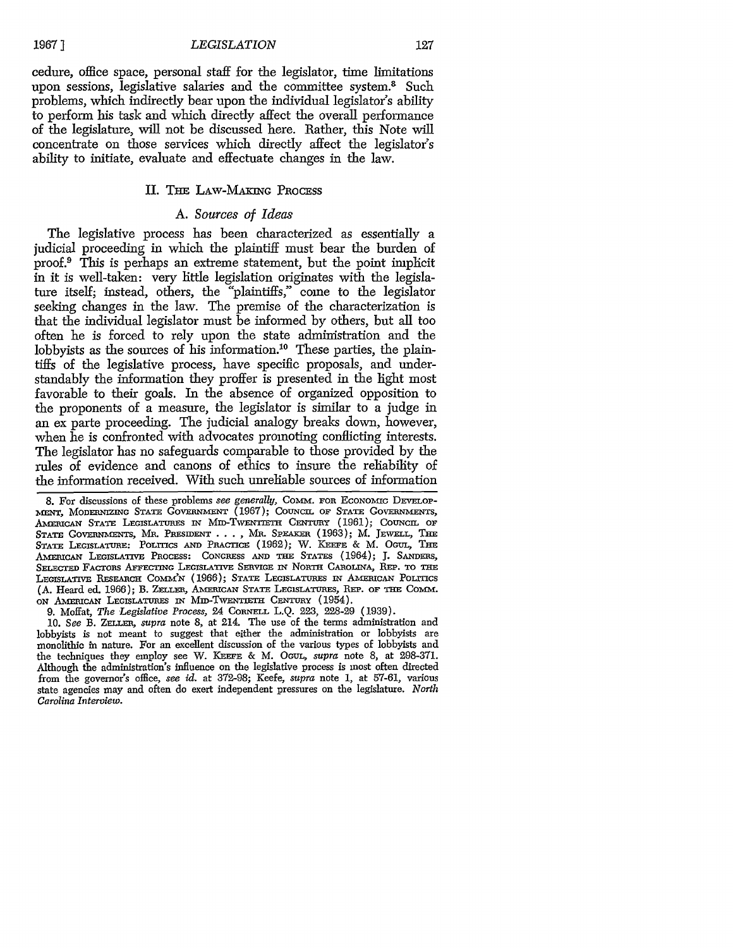**1967]**

#### *LEGISLATION*

127

cedure, office space, personal staff for the legislator, time limitations upon sessions, legislative salaries and the committee system.<sup>8</sup> Such problems, which indirectly bear upon the individual legislator's ability to perform his task and which directly affect the overall performance of the legislature, will not be discussed here. Rather, this Note will concentrate on those services which directly affect the legislator's ability to initiate, evaluate and effectuate changes in the law.

#### II. THE LAW-MAKING PROCESS

#### *A. Sources of Ideas*

The legislative process has been characterized as essentially a judicial proceeding in which the plaintiff must bear the burden of proof.9 This is perhaps an extreme statement, but the point implicit in it is well-taken: very little legislation originates with the legislature itself; instead, others, the "plaintiffs," come to the legislator seeking changes in the law. The premise of the characterization is that the individual legislator must be informed by others, but all too often he is forced to rely upon the state administration and the lobbyists as the sources of his information.<sup>10</sup> These parties, the plaintiffs of the legislative process, have specific proposals, and understandably the information they proffer is presented in the light most favorable to their goals. In the absence of organized opposition to the proponents of a measure, the legislator is similar to a judge in an ex parte proceeding. The judicial analogy breaks down, however, when he is confronted with advocates promoting conflicting interests. The legislator has no safeguards comparable to those provided by the rules of evidence and canons of ethics to insure the reliability of the information received. With such unreliable sources of information

**9.** Moffat, *The Legislative Process,* 24 CORNELL **L.Q.** 223, 228-29 (1939).

10. *See* B. **ZELLER,** *supra* note 8, at 214. The use of the terms administration and lobbyists is not meant to suggest that either the administration or lobbyists are monolithic in nature. For an excellent discussion of the various types of lobbyists and the techniques they employ see W. **KEEFE:** & M. OGur, *supra* note 8, at 298-371. Although the administration's influence on the legislative process is most often directed from the governor's office, *see id.* at 372-98; Keefe, *supra* note 1, at 57-61, various state agencies may and often do exert independent pressures on the legislature. *North Carolina Interview.*

<sup>8.</sup> For discussions of these problems *see generally,* Comm. **FOR** ECONOMIC **DEVELoP-MENT, MODERNIZING STATE GOVERNMENT (1967); COUNCIL OF STATE GOVERNMENTS, AmRICAN STATE LEGISLATURES IN MiD-TwENTmr CENTURY** (1961); COUNCIL OF State Governments, Mr. President  $\ldots$ , Mr. Speaker (1963); M. Jewell, The **STATE LEGISLATURE: PoLrnCs AND PRACTICE** (1962); W. *KEEFE* & M. **Ocur, THE AMEmRCAN LEGiSLATIvE** PRocESs: CONGRESS **AND T STATES** (1964); **J. SANDERs,** SELECTED FAcToRs AFFECTING LEGISLATIVE **SERVICE IN** NORTH **CAROLINA, REP. TO THE** LEGISLATIVE RESEARCH COMM'N (1966); STATE LEGISLATURES IN AMERICAN POLITICS (A. Heard ed. 1966); B. ZELLER, AMERICAN STATE LEGISLATURES, REP. OF THE COMM. ON AMERICAN LEGISLATURES IN MID-TWENTIETH CENTURY (1954).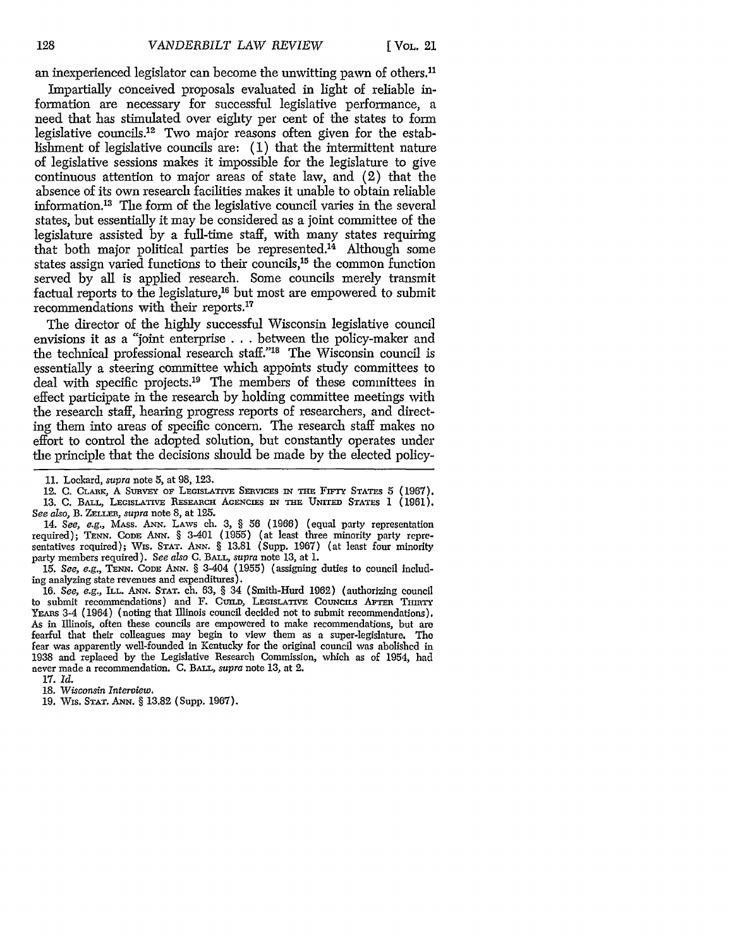an inexperienced legislator can become the unwitting pawn of others.<sup>11</sup> Impartially conceived proposals evaluated in light of reliable information are necessary for successful legislative performance, a need that has stimulated over eighty per cent of the states to form legislative councils.<sup>12</sup> Two major reasons often given for the establishment of legislative councils are: (1) that the intermittent nature of legislative sessions makes it impossible for the legislature to give continuous attention to major areas of state law, and (2) that the absence of its own research facilities makes it unable to obtain reliable information.13 The form of the legislative council varies in the several states, but essentially it may be considered as a joint committee of the legislature assisted by a full-time staff, with many states requiring that both major political parties be represented.<sup>14</sup> Although some states assign varied functions to their councils,<sup>15</sup> the common function served by all is applied research. Some councils merely transmit factual reports to the legislature,<sup>16</sup> but most are empowered to submit recommendations with their reports.<sup>17</sup>

The director of the highly successful Wisconsin legislative council envisions it as a "joint enterprise **. . .** between the policy-maker and the technical professional research staff."<sup>18</sup> The Wisconsin council is essentially a steering committee which appoints study committees to deal with specific projects.<sup>19</sup> The members of these committees in effect participate in the research by holding committee meetings with the research staff, hearing progress reports of researchers, and directing them into areas of specific concern. The research staff makes no effort to control the adopted solution, but constantly operates under the principle that the decisions should be made by the elected policy-

14. *See, e.g.,* MAss. *ANN.* LAws ch. 3, § 56 (1966) (equal party representation required); **TEN.** CODE ANN. § 3-401 (1955) (at least three minority party representatives required); Wis. **STAT.** *ANN.* § 13.81 (Supp. 1967) (at least four minority party members required). *See also* C. BALL, *supra* note 13, at 1.

15. *See, e.g.,* TENN. CODE **ANN.** *§* 3-404 (1955) (assigning duties to council including analyzing state revenues and expenditures).

16. *See, e.g.,* ILL. ANN. **STAT.** ch. 63, § 34 (Smith-Hurd 1962) (authorizing council to submit recommendations) and F. CUILD, LEGISLATIVE COUNCILS AFTER THIRTY YEARS 3-4 (1964) (noting that Illinois council decided not to submit recommendations) As in Illinois, often these councils are empowered to make recommendations, but are fearful that their colleagues may begin to view them as a super-legislature. **The** fear was apparently well-founded in Kentucky for the original council was abolished in 1938 and replaced **by** the Legislative Research Commission, which as of 1954, had never made a recommendation. **C.** BALL, *supra* note 13, at 2.

17. *Id.*

**18.** *Wisconsin Interview.*

19. Wis. **STAT.** ANN. § 13.82 (Supp. 1967).

**<sup>11.</sup>** Lockard, *supra* note 5, at 98, 123.

<sup>12.</sup> C. CLARK, A SURVEY OF LEGISLATIVE SERVICES IN THE FIFTY STATES 5 (1967). 13. C. BALL, **LEGISLATIVE** RESEARCH AGENcrEs IN **THE UNrrED** STATES **1** (1961). *See also,* B. ZELLER, *supra* note 8, at 125.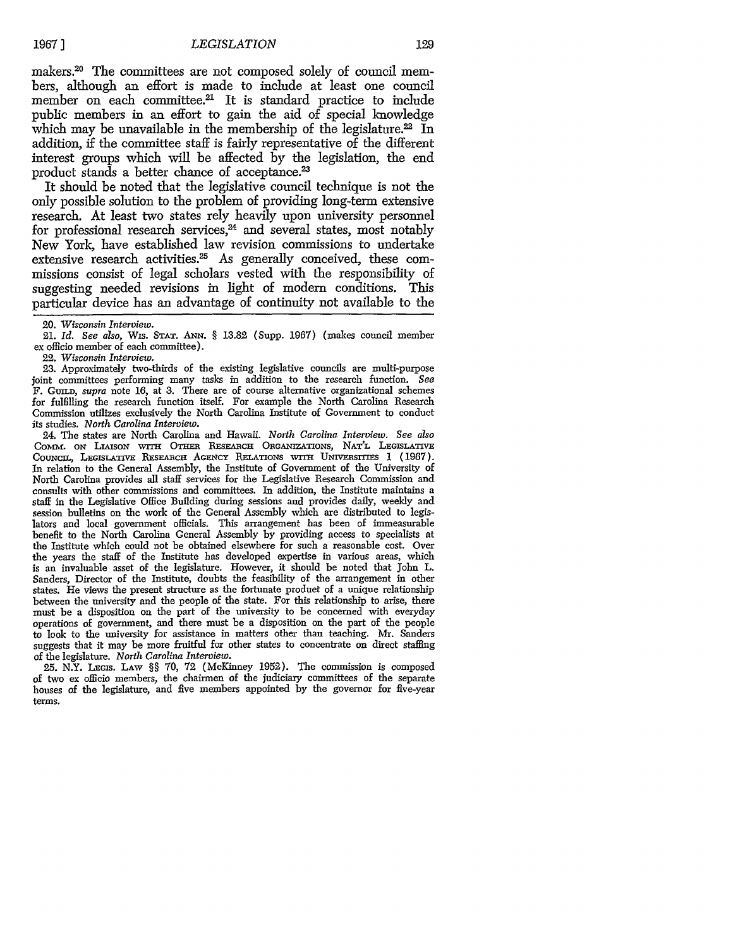makers.<sup>20</sup> The committees are not composed solely of council members, although an effort is made to include at least one council member on each committee.<sup>21</sup> It is standard practice to include public members in an effort to gain the aid of special knowledge which may be unavailable in the membership of the legislature.<sup>22</sup> In addition, if the committee staff is fairly representative of the different interest groups which will be affected by the legislation, the end product stands a better chance of acceptance.<sup>23</sup>

It should be noted that the legislative council technique is not the only possible solution to the problem of providing long-term extensive research. At least two states rely heavily upon university personnel for professional research services,<sup>24</sup> and several states, most notably New York, have established law revision commissions to undertake extensive research activities.<sup>25</sup> As generally conceived, these commissions consist of legal scholars vested with the responsibility of suggesting needed revisions in light of modern conditions. This particular device has an advantage of continuity not available to the

21. *Id. See also,* Wis. **STAT.** *ANN.* § 13.82 (Supp. 1967) (makes council member ex officio member of each committee).

22. *Wisconsin Interview.*

23. Approxinately two-thirds of the existing legislative councils are multi-purpose joint committees performing many tasks in addition to the research function. *See* F. GUILD, *supra* note 16, at 3. There are of course alternative organizational schemes for fulfilling the research function itself. For example the North Carolina Research Commission utilizes exclusively the North Carolina Institute of Government to conduct its studies. *North Carolina Interview.*

24. The states are North Carolina and Hawaii. *North Carolina Interview. See also* COMM. ON LIAISON WITH OTHER RESEARCH ORGANIZATIONS, NAT'L LEGISLATIVE COUNCIL, LEGISLATIVE RESEARCH AGENCY RELATIONS WITH UNIVERSITIES 1 (1967). In relation to the General Assembly, the Institute of Government of the University of North Carolina provides all staff services for the Legislative Research Commission and consults with other commissions and committees. In addition, the Institute maintains a staff in the Legislative Office Building during sessions and provides daily, weekly and session bulletins on the work of the General Assembly which are distributed to legislators and local government officials. This arrangement has been of immeasurable benefit to the North Carolina General Assembly by providing access to specialists at the Institute which could not be obtained elsewhere for such a reasonable cost. Over the years the staff of the Institute has developed expertise in various areas, which is an invaluable asset of the legislature. However, it should be noted that John L. Sanders, Director of the Institute, doubts the feasibility of the arrangement in other states. He views the present structure as the fortunate product of a unique relationship between the university and the people of the state. For this relationship to arise, there must be a disposition on the part of the university to be concerned with everyday operations of government, and there must be a disposition on the part of the people to look to the university for assistance in matters other than teaching. Mr. Sanders suggests that it may be more fruitful for other states to concentrate on direct staffing of the legislature. *North Carolina Interview.*

**25.** N.Y. LEGIs. LAW §§ 70, **72** (McKinney 1952). The commission is composed of two ex officio members, the chairmen of the judiciary committees of the separate houses of the legislature, and five members appointed by the governor for five-year terms.

<sup>20.</sup> *Wisconsin Interview.*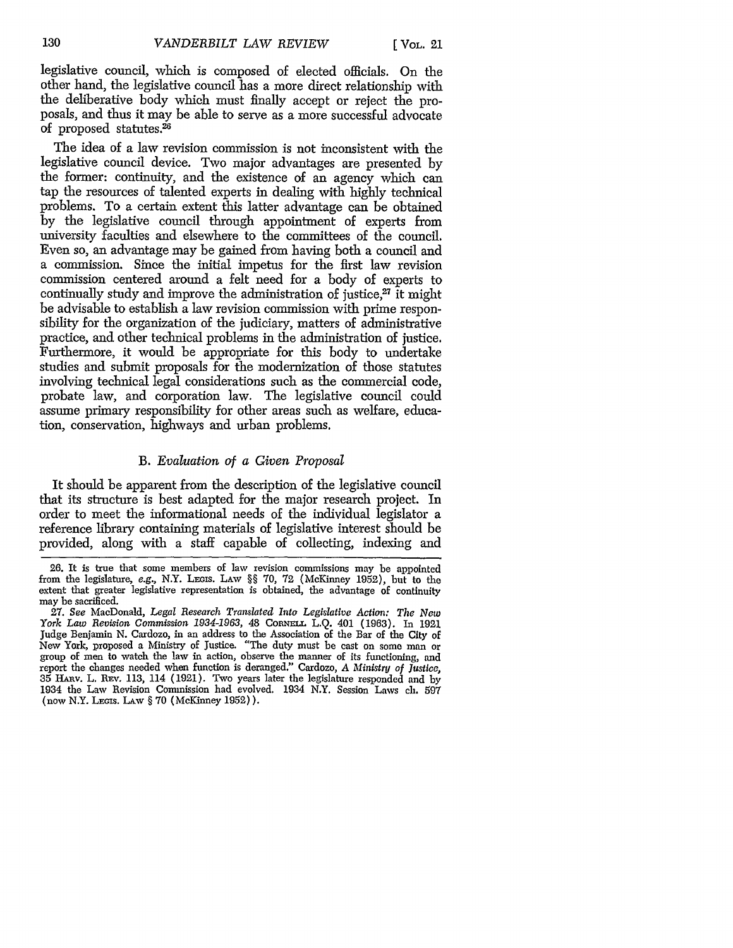legislative council, which is composed of elected officials. On the other hand, the legislative council has a more direct relationship with the deliberative body which must finally accept or reject the proposals, and thus it may be able to serve as a more successful advocate of proposed statutes.2

The idea of a law revision commission is not inconsistent with the legislative council device. Two major advantages are presented by the former: continuity, and the existence of an agency which can tap the resources of talented experts in dealing with highly technical problems. To a certain extent this latter advantage can be obtained by the legislative council through appointment of experts from university faculties and elsewhere to the committees of the council. Even so, an advantage may be gained from having both a council and a commission. Since the initial impetus for the first law revision commission centered around a felt need for a body of experts to continually study and improve the administration of justice, $27$  it might be advisable to establish a law revision commission with prime responsibility for the organization of the judiciary, matters of administrative practice, and other technical problems in the administration of justice. Furthermore, it would be appropriate for this body to undertake studies and submit proposals for the modernization of those statutes involving technical legal considerations such as the commercial code, probate law, and corporation law. The legislative council could assume primary responsibility for other areas such as welfare, education, conservation, highways and urban problems.

#### B. *Evaluation of a Given Proposal*

It should be apparent from the description of the legislative council that its structure is best adapted for the major research project. In order to meet the informational needs of the individual legislator a reference library containing materials of legislative interest should be provided, along with a staff capable of collecting, indexing and

<sup>26.</sup> It is true that some members of law revision commissions may be appointed from the legislature, e.g., N.Y. LEGIs. **LANW** §§ 70, 72 (McKinney 1952), but to the extent that greater legislative representation is obtained, the advantage of continuity may be sacrificed.

**<sup>27.</sup>** See MacDonald, *Legal Research Translated Into Legislative Action: The New York Law Revision Commission 1934-1963, 48 Cornel L.O. 401 (1963). In 1921* Judge Benjamin N. Cardozo, in an address to the Association of the Bar of the City of New York, proposed a Ministry of Justice. "The duty must be cast on some man or group of men to watch the law in action, observe the manner of its functioning, and report the changes needed when function is deranged." Cardozo, *A Ministry of Justice,* 35 Hnyv. L. REv. 113, 114 (1921). Two years later the legislature responded and by 1934 the Law Revision Commission had evolved. 1934 N.Y. Session Laws **eh.** 597 (now N.Y. **LEGIS.** LA-w § 70 (McKinney 1952)).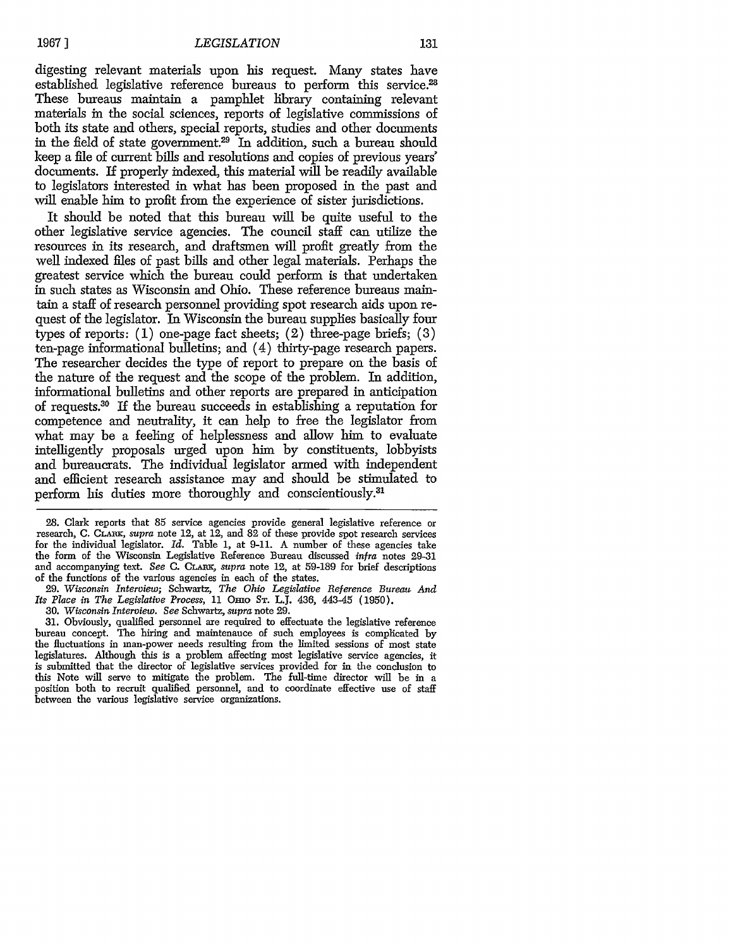digesting relevant materials upon his request. Many states have established legislative reference bureaus to perform this service.<sup>28</sup> These bureaus maintain a pamphlet library containing relevant materials in the social sciences, reports of legislative commissions of both its state and others, special reports, studies and other documents in the field of state government.<sup>29</sup> In addition, such a bureau should keep a file of current bills and resolutions and copies of previous years' documents. If properly indexed, this material will be readily available to legislators interested in what has been proposed in the past and will enable him to profit from the experience of sister jurisdictions.

It should be noted that this bureau will be quite useful to the other legislative service agencies. The council staff can utilize the resources in its research, and draftsmen will profit greatly from the well indexed files of past bills and other legal materials. Perhaps the greatest service which the bureau could perform is that undertaken in such states as Wisconsin and Ohio. These reference bureaus maintain a staff of research personnel providing spot research aids upon request of the legislator. In Wisconsin the bureau supplies basically four types of reports: (1) one-page fact sheets; (2) three-page briefs; (3) ten-page informational bulletins; and (4) thirty-page research papers. The researcher decides the type of report to prepare on the basis of the nature of the request and the scope of the problem. In addition, informational bulletins and other reports are prepared in anticipation of requests.<sup>30</sup> If the bureau succeeds in establishing a reputation for competence and neutrality, it can help to free the legislator from what may be a feeling of helplessness and allow him to evaluate intelligently proposals urged upon him by constituents, lobbyists and bureaucrats. The individual legislator armed with independent and efficient research assistance may and should be stimulated to perform his duties more thoroughly and conscientiously.31

28. Clark reports that 85 service agencies provide general legislative reference or research, C. Cr\_ n, *supra* note 12, at 12, and **82** of these provide spot research services for the individual legislator. *Id.* Table 1, at 9-11. A number of these agencies take the form of the Wisconsin Legislative Reference Bureau discussed *infra* notes 29-31 and accompanying text. *See* C. *CLMm, supra* note 12, at 59-189 for brief descriptions of the functions of the various agencies in each of the states.

*29. Wisconsin Interview;* Schwartz, *The Ohio Legislative Reference Bureau And Its Place in The Legislative Process,* 11 OEo ST. L.J. 436, 443-45 (1950).

30. *Wisconsin Interview. See* Schwartz, *supra* note **29.**

31. Obviously, qualified personnel are required to effectuate the legislative reference bureau concept. The hiring and maintenance of such employees is complicated by the fluctuations in man-power needs resulting from the limited sessions of most state legislatures. Although this is a problem affecting most legislative service agencies, it is submitted that the director of legislative services provided for in the conclusion to this Note will serve to mitigate the problem. The full-time director will be in a position both to recruit qualified personnel, and to coordinate effective use of staff between the various legislative service organizations.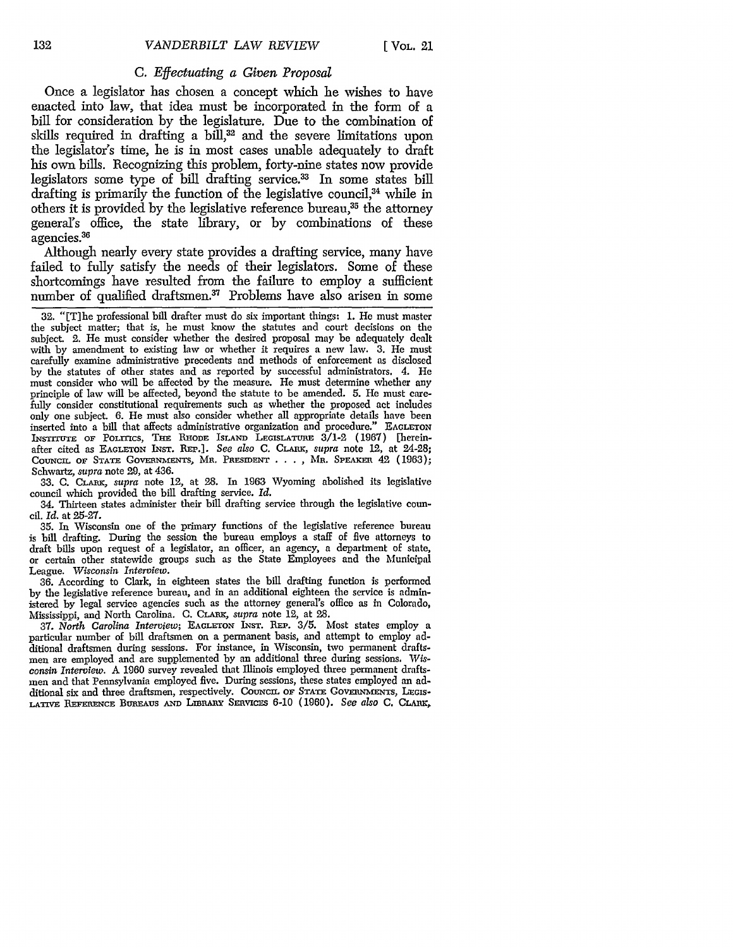#### C. *Effectuating a Given Proposal*

Once a legislator has chosen a concept which he wishes to have enacted into law, that idea must be incorporated in the form of a bill for consideration by the legislature. Due to the combination of skills required in drafting a bill,<sup>32</sup> and the severe limitations upon the legislator's time, he is in most cases unable adequately to draft his own bills. Recognizing this problem, forty-nine states now provide legislators some type of bill drafting service.<sup>33</sup> In some states bill drafting is primarily the function of the legislative council, $34$  while in others it is provided by the legislative reference bureau,<sup>35</sup> the attorney general's office, the state library, or by combinations of these agencies.<sup>36</sup>

Although nearly every state provides a drafting service, many have failed to fully satisfy the needs of their legislators. Some of these shortcomings have resulted from the failure to employ a sufficient number of qualified draftsmen.<sup>37</sup> Problems have also arisen in some

33. C. CLARK, *supra* note 12, at 28. In 1963 Wyoming abolished its legislative council which provided the bill drafting service. *Id.*

34. Thirteen states administer their bill drafting service through the legislative council. *Id.* at 25-27.

35. In Wisconsin one of the primary functions of the legislative reference bureau is bill drafting. During the session the bureau employs a staff of five attorneys to draft bills upon request of a legislator, an officer, an agency, a department of state, or certain other statewide groups such as the State Employees and the Municipal League. *Wisconsin Interview.*

36. According to Clark, in eighteen states the bill drafting function is performed by the legislative reference bureau, and in an additional eighteen the service is administered by legal service agencies such as the attorney general's office as in Colorado, Mississippi, and North Carolina. C. **CLARK,** *supra* note 12, at 28.

37. *North Carolina Interview;* **EAGLETON** INsT. REP. 3/5. Most states employ a particular number of bill draftsmen on a permanent basis, and attempt to employ additional draftsmen during sessions. For instance, in Wisconsin, two permanent draftsmen are employed and are supplemented by an additional three during sessions. *Wisconsin Interview.* A 1960 survey revealed that Illinois employed three permanent draftsmen and that Pennsylvania employed five. During sessions, these states employed an additional six and three draftsmen, respectively. COUNCIL OF STATE GOVERNMENTS, LEGIS-LATIVE REFERENCE BUREAUS AND LIBRARY SERVICES 6-10 (1960). See also C. CLARK.

<sup>32. &</sup>quot;[Tlhe professional bill drafter must do six important things: 1. He must master the subject matter; that is, he must know the statutes and court decisions on the subject. 2. He must consider whether the desired proposal may be adequately dealt with by amendment to existing law or whether it requires a new law. 3. He must carefully examine administrative precedents and methods of enforcement as disclosed by the statutes of other states and as reported by successful administrators. 4. He must consider who will be affected by the measure. He must determine whether any principle of law will be affected, beyond the statute to be amended. 5. He must carefully consider constitutional requirements such as whether the proposed act includes only one subject. 6. He must also consider whether all appropriate details have been inserted into a bill that affects administrative organization and procedure." EAGLETON INsTrrUTE OF PoLrrTcs, *THE* **RHODE** IsLAND **LEGISLATuRE** 3/1-2 (1967) [hereinafter cited as EAGLETON INST. REP.]. See also C. CLARK, *supra* note 12, at 24-28; COUNCIL OF STATE GOVERNMENTS, MR. PRESIDENT . . . , MR. SPEAKER 42 (1963); Schwartz, *supra* note 29, at 436.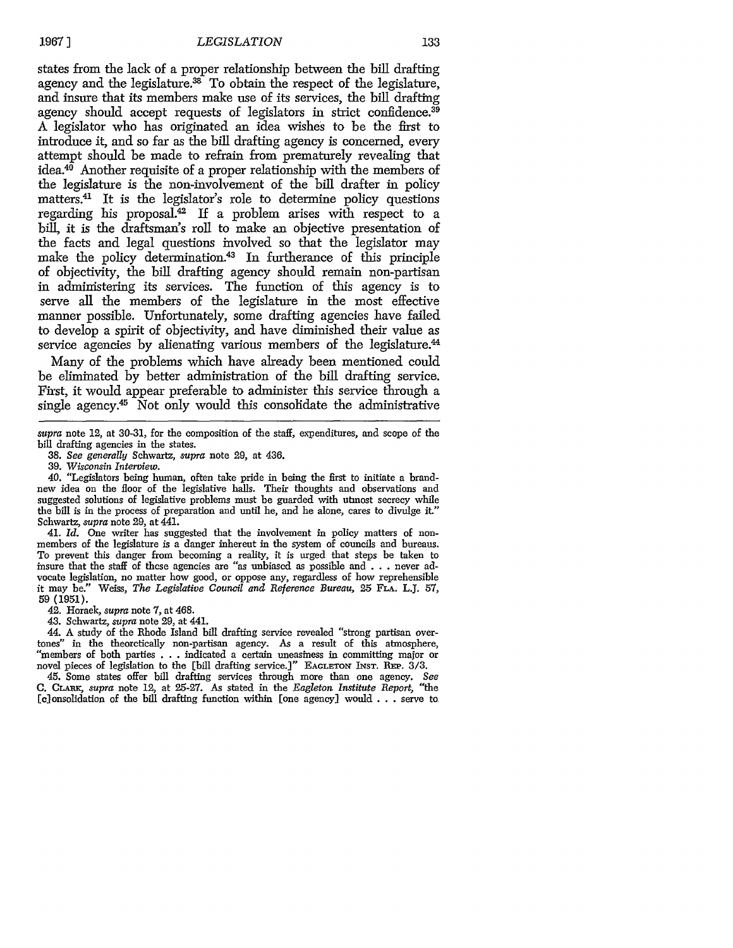states from the lack of a proper relationship between the bill drafting agency and the legislature.<sup>38</sup> To obtain the respect of the legislature, and insure that its members make use of its services, the bill drafting agency should accept requests of legislators in strict confidence.<sup>39</sup> A legislator who has originated an idea wishes to be the first to introduce it, and so far as the bill drafting agency is concerned, every attempt should be made to refrain from prematurely revealing that  $i$ dea.<sup>40</sup> Another requisite of a proper relationship with the members of the legislature is the non-involvement of the bill drafter in policy matters.41 It is the legislator's role to determine policy questions regarding his proposal.<sup>42</sup> If a problem arises with respect to a bill, it is the draftsman's roll to make an objective presentation of the facts and legal questions involved so that the legislator may make the policy determination.43 In furtherance of this principle of objectivity, the bill drafting agency should remain non-partisan in administering its services. The function of this agency is to serve all the members of the legislature in the most effective manner possible. Unfortunately, some drafting agencies have failed to develop a spirit of objectivity, and have diminished their value as service agencies by alienating various members of the legislature.<sup>44</sup>

Many of the problems which have already been mentioned could be eliminated by better administration of the bill drafting service. First, it would appear preferable to administer this service through a single agency. $45$  Not only would this consolidate the administrative

41. *Id.* One writer has suggested that the involvement in policy matters of nonmembers of the legislature is a danger inherent in the system of councils and bureaus. To prevent this danger from becoming a reality, it is urged that steps be taken to insure that the staff of these agencies are "as unbiased as possible and... never advocate legislation, no matter how good, or oppose any, regardless of how reprehensible it may be." Weiss, *The Legislative Council and Reference Bureau,* 25 **FLA.** L.J. 57, **59 (1951).**

42. Horack, *supra* note 7, at 468.

43. Schwartz, *supra* note 29, at 441. tones" in the theorctically non-partisan agency. As a result of this atmosphere, "members of both parties . . .indicated a certain uneasiness in committing major or novel pieces of legislation to the [bill drafting service.]" **EAGLETON INST. REP.** 3/3.

45. Some states offer bill drafting services through more than one agency. *See* **C.** Ciuuc, supra note 12, at 25-27. As stated in the *Eagleton Institute Report,* "the [c]onsolidation of the bill drafting function within [one agency] would . . .serve to

*supra* note 12, at 30-31, for the composition of the staff, expenditures, and scope of the bill drafting agencies in the states.

<sup>38.</sup> *See generally* Schwartz, *supra* note **29,** at 436.

<sup>39.</sup> *Wisconsin Interview.*

<sup>40.</sup> "Legislators being human, often take pride in being the first to initiate a brandnew idea on the floor of the legislative halls. Their thoughts and observations and suggested solutions of legislative problems must be guarded with utmost secrecy while the bill is in the process of preparation and until he, and he alone, cares to divulge it." Schwartz, *supra* note 29, at 441.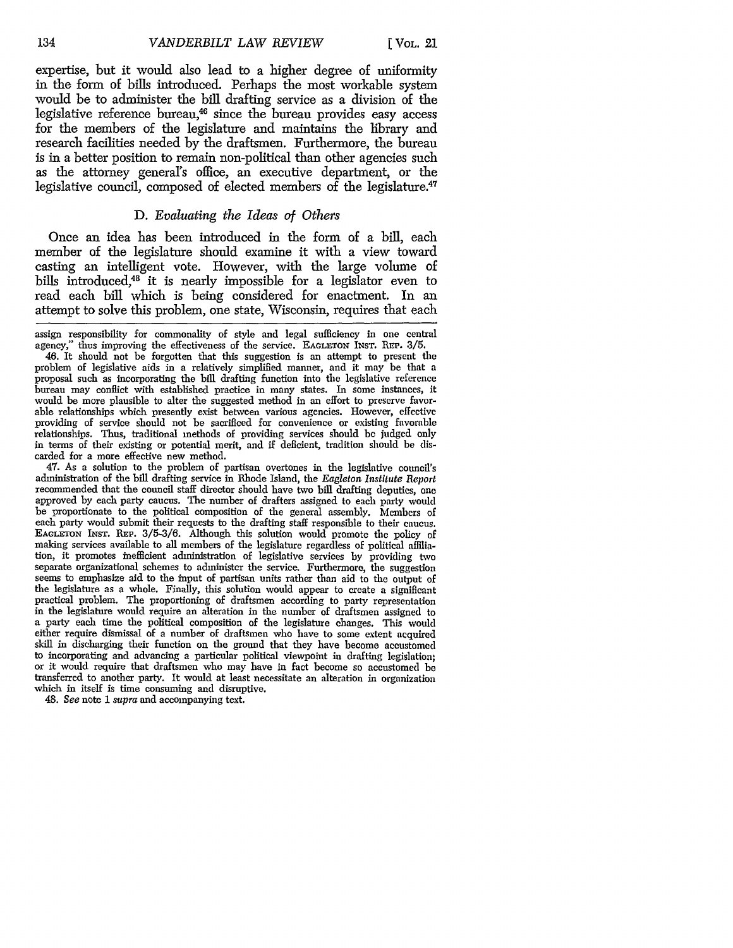expertise, but it would also lead to a higher degree of uniformity in the form of bills introduced. Perhaps the most workable system would be to administer the bill drafting service as a division of the legislative reference bureau,<sup>46</sup> since the bureau provides easy access for the members of the legislature and maintains the library and research facilities needed by the draftsmen. Furthermore, the bureau is in a better position to remain non-political than other agencies such as the attorney general's office, an executive department, or the legislative council, composed of elected members of the legislature.<sup>47</sup>

#### D. *Evaluating the Ideas of Others*

Once an idea has been introduced in the form of a bill, each member of the legislature should examine it with a view toward casting an intelligent vote. However, with the large volume of bills introduced,<sup>48</sup> it is nearly impossible for a legislator even to read each bill which is being considered for enactment. In an attempt to solve this problem, one state, Wisconsin, requires that each

47. As a solution to the problem of partisan overtones in the legislative council's administration of the bill drafting service in Rhode Island, the *Eagleton, Institute Report* recommended that the council staff director should have two bill drafting deputies, one approved by each party caucus. The number of drafters assigned to each party would be proportionate to the political composition of the general assembly. Members of each party would submit their requests to the drafting staff responsible to their caucus. EAGLETON INST. REP. 3/5-3/6. Although this solution would promote the policy of making services available to all members of the legislature regardless of political affiliation, it promotes inefficient administration of legislative services by providing tvo separate organizational schemes to administer the service. Furthermore, the suggestion seems to emphasize aid to the input of partisan units rather than aid to the output of the legislature as a whole. Finally, this solution would appear to create a significant practical problem. The proportioning of draftsmen according to party representation in the legislature would require an alteration in the number of draftsmen assigned to a party each time the political composition of the legislature changes. This would either require dismissal of a number of draftsmen who have to some extent acquired skill in discharging their function on the ground that they have become accustomed to incorporating and advancing a particular political viewpoint in drafting legislation; or it would require that draftsmen who may have in fact become so accustomed be transferred to another party. It would at least necessitate an alteration in organization which in itself is time consuming and disruptive.

48. *See* note **I** *supra* and accompanying text.

assign responsibility for commonality of style and legal sufficiency in one central agency," thus improving the effectiveness of the service. EAGLETON INST. REP. 3/5.

<sup>46.</sup> It should not be forgotten that this suggestion is an attempt to present the problem of legislative aids in a relatively simplified manner, and it may be that a proposal such as incorporating the bill drafting function into the legislative reference bureau may conflict with established practice in many states. In some instances, it would be more plausible to alter the suggested method in an effort to preserve favorable relationships which presently exist between various agencies. However, effective providing of service should not be sacrificed for convenience or existing favorable relationships. Thus, traditional methods of providing services should be judged only in terms of their existing or potential merit, and if deficient, tradition should be discarded for a more effective new method.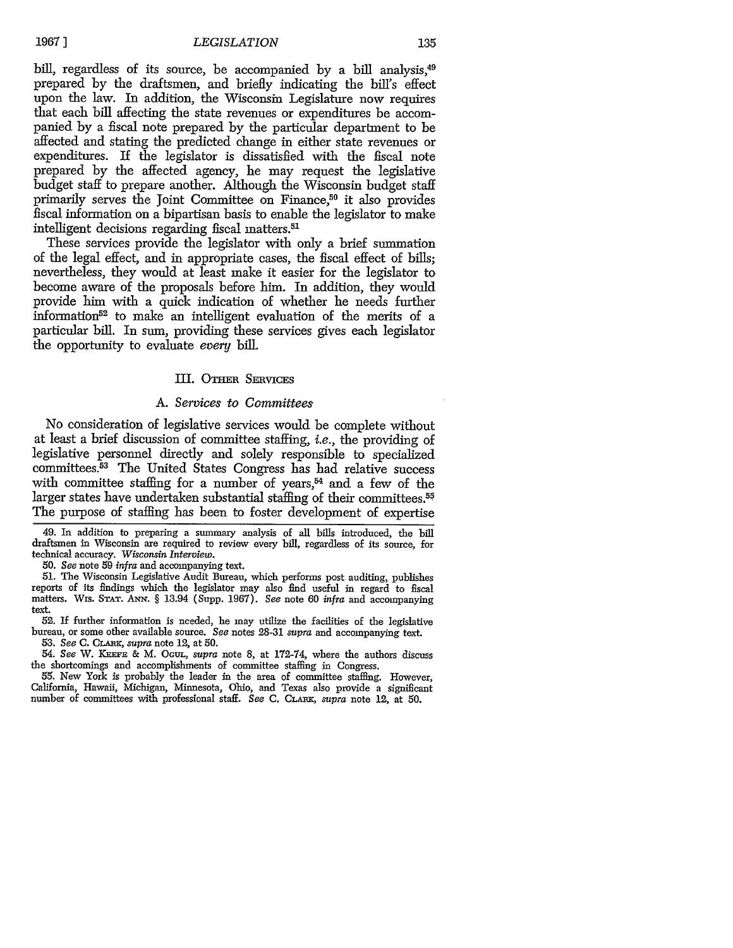**1967 ]**

#### *LEGISLATION*

bill, regardless of its source, be accompanied by a bill analysis,<sup>49</sup> prepared by the draftsmen, and briefly indicating the bill's effect upon the law. In addition, the Wisconsin Legislature now requires that each bill affecting the state revenues or expenditures be accompanied by a fiscal note prepared by the particular department to be affected and stating the predicted change in either state revenues or expenditures. If the legislator is dissatisfied with the fiscal note prepared by the affected agency, he may request the legislative budget staff to prepare another. Although the Wisconsin budget staff primarily serves the Joint Committee on Finance,<sup>50</sup> it also provides fiscal information on a bipartisan basis to enable the legislator to make intelligent decisions regarding fiscal matters.51

These services provide the legislator with only a brief summation of the legal effect, and in appropriate cases, the fiscal effect of bills; nevertheless, they would at least make it easier for the legislator to become aware of the proposals before him. In addition, they would provide him with a quick indication of whether he needs further information52 to make an intelligent evaluation of the merits of a particular bill. In sum, providing these services gives each legislator the opportunity to evaluate *every* bill.

#### III. OTHER SERVICES

#### *A. Services to Committees*

No consideration of legislative services would be complete without at least a brief discussion of committee staffing, *i.e.,* the providing of legislative personnel directly and solely responsible to specialized committees. 53 The United States Congress has had relative success with committee staffing for a number of years, $54$  and a few of the larger states have undertaken substantial staffing of their committees.<sup>55</sup> The purpose of staffing has been to foster development of expertise

49. In addition to preparing a summary analysis of all bills introduced, the bill draftsmen in Wisconsin are required to review every bill, regardless of its source, for technical accuracy. *Wisconsin Interview.*

*50. See* note 59 *infra* and accompanying text.

51. The Wisconsin Legislative Audit Bureau, which performs post auditing, publishes reports of its findings which the legislator may also find useful in regard to fiscal matters. Wis. **STAT.** *ANN.* § 13.94 (Supp. 1967). *See* note 60 *infra* and accompanying text.

52. **If** further information is needed, he may utilize the facilities of the legislative bureau, or some other available source. *See* notes 28-31 *supra* and accompanying text. *53. See* C. CLAnx, *supra* note 12, at 50.

54. *See W. K=EEE &* M. *OGuL, supra* note 8, at 172-74, where the authors discuss

the shortcomings and accomplishments of committee staffing in Congress. 55. New York is probably the leader in the area of committee staffing. However, California, Hawaii, Michigan, Minnesota, Ohio, and Texas also provide a significant number of committees with professional staff. *See* C. CLrnx, *supra* note 12, at 50.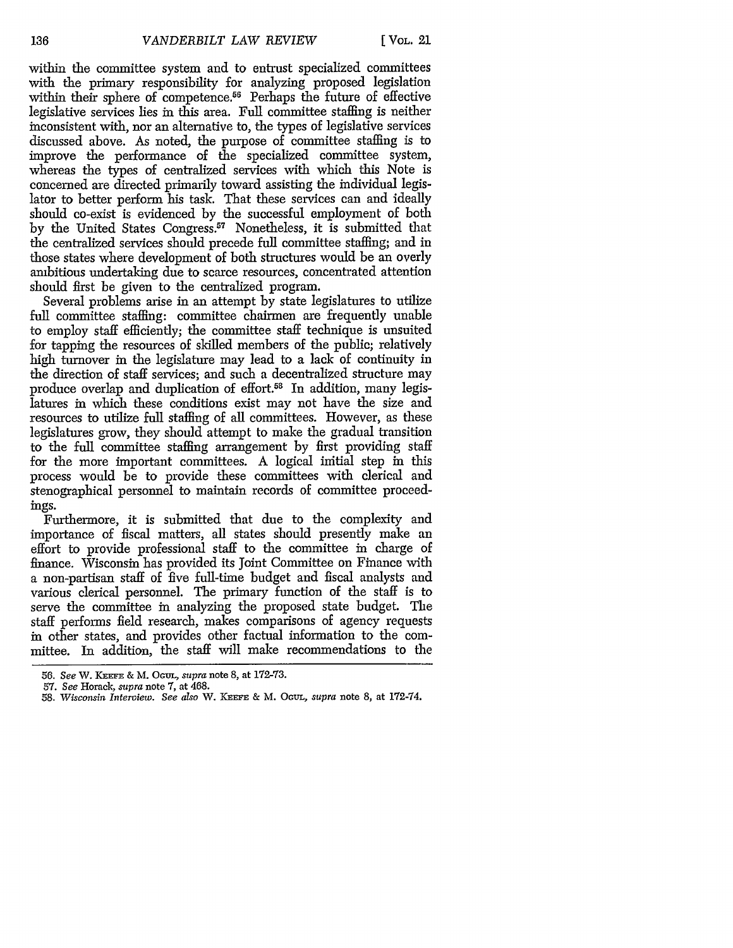within the committee system and to entrust specialized committees with the primary responsibility for analyzing proposed legislation within their sphere of competence.<sup>56</sup> Perhaps the future of effective legislative services lies in this area. Full committee staffing is neither inconsistent with, nor an alternative to, the types of legislative services discussed above. As noted, the purpose of committee staffing is to improve the performance of the specialized committee system, whereas the types of centralized services with which this Note is concerned are directed primarily toward assisting the individual legislator to better perform his task. That these services can and ideally should co-exist is evidenced by the successful employment of both by the United States Congress.<sup>57</sup> Nonetheless, it is submitted that the centralized services should precede full committee staffing; and in those states where development of both structures would be an overly ambitious undertaking due to scarce resources, concentrated attention should first be given to the centralized program.

Several problems arise in an attempt by state legislatures to utilize full committee staffing: committee chairmen are frequently unable to employ staff efficiently; the committee staff technique is unsuited for tapping the resources of skilled members of the public; relatively high turnover in the legislature may lead to a lack of continuity in the direction of staff services; and such a decentralized structure may produce overlap and duplication of effort.<sup>58</sup> In addition, many legislatures in which these conditions exist may not have the size and resources to utilize full staffing of all committees. However, as these legislatures grow, they should attempt to make the gradual transition to the full committee staffing arrangement by first providing staff for the more important committees. A logical initial step in this process would be to provide these committees with clerical and stenographical personnel to maintain records of committee proceedings.

Furthermore, it is submitted that due to the complexity and importance of fiscal matters, all states should presently make an effort to provide professional staff to the committee in charge of finance. Wisconsin has provided its Joint Committee on Finance with a non-partisan staff of five full-time budget and fiscal analysts and various clerical personnel. The primary function of the staff is to serve the committee in analyzing the proposed state budget. The staff performs field research, makes comparisons of agency requests in other states, and provides other factual information to the committee. In addition, the staff will make recommendations to the

<sup>56.</sup> *See* W. **KEE** & M. Oem.L, *supra* note 8, at 172-73.

<sup>57.</sup> *See* Horack, *supra* note 7, at 468.

*<sup>58.</sup> Wisconsin Interview. See also* W. **KEEFE** & M. OtrL, *supra* note 8, at 172-74.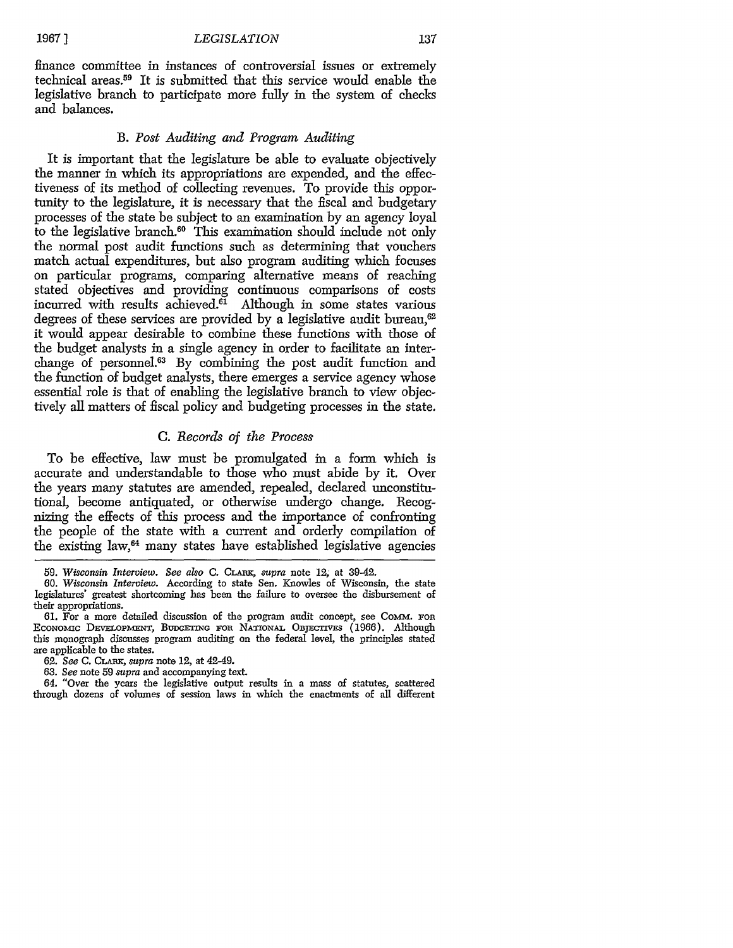#### *LEGISLATION*

finance committee in instances of controversial issues or extremely technical areas.59 It is submitted that this service would enable the legislative branch to participate more fully in the system of checks and balances.

#### *B. Post Auditing and Program Auditing*

It is important that the legislature be able to evaluate objectively the manner in which its appropriations are expended, and the effectiveness of its method of collecting revenues. To provide this opportunity to the legislature, it is necessary that the fiscal and budgetary processes of the state be subject to an examination by an agency loyal to the legislative branch.<sup>60</sup> This examination should include not only the normal post audit functions such as determining that vouchers match actual expenditures, but also program auditing which focuses on particular programs, comparing alternative means of reaching stated objectives and providing continuous comparisons of costs incurred with results achieved.<sup>61</sup> Although in some states various degrees of these services are provided by a legislative audit bureau,  $62$ it would appear desirable to combine these functions with those of the budget analysts in a single agency in order to facilitate an interchange of personnel.<sup>63</sup> By combining the post audit function and the function of budget analysts, there emerges a service agency whose essential role is that of enabling the legislative branch to view objectively all matters of fiscal policy and budgeting processes in the state.

## C. *Records of the Process*

To be effective, law must be promulgated in a form which is accurate and understandable to those who must abide by it. Over the years many statutes are amended, repealed, declared unconstitutional, become antiquated, or otherwise undergo change. Recognizing the effects of this process and the importance of confronting the people of the state with a current and orderly compilation of the existing law, 64 many states have established legislative agencies

<sup>59.</sup> *Wisconsin Interview. See also* C. **CLARK,** *supra* note *12,* at 39-42.

<sup>60.</sup> *Wisconsin Interview.* According to state Sen. Knowles of Wisconsin, the state legislatures' greatest shortcoming has been the failure to oversee the disbursement of their appropriations.

**<sup>61.</sup>** For a more detailed discussion of the program audit concept, see Comm. FOR EcoNolnc DE VOPmENT, BUDGETmG roR NA-nONAL **OBJECrvEs** (1966). Although this monograph discusses program auditing on the federal level, the principles stated are applicable to the states.

**<sup>62.</sup>** *See* C. CLARK, *supra* note 12, at 42-49.

<sup>63.</sup> *See* note 59 *supra* and accompanying text.

<sup>64. &</sup>quot;Over the years the legislative output results in a mass of statutes, scattered through dozens of volumes of session laws in which the enactments of all different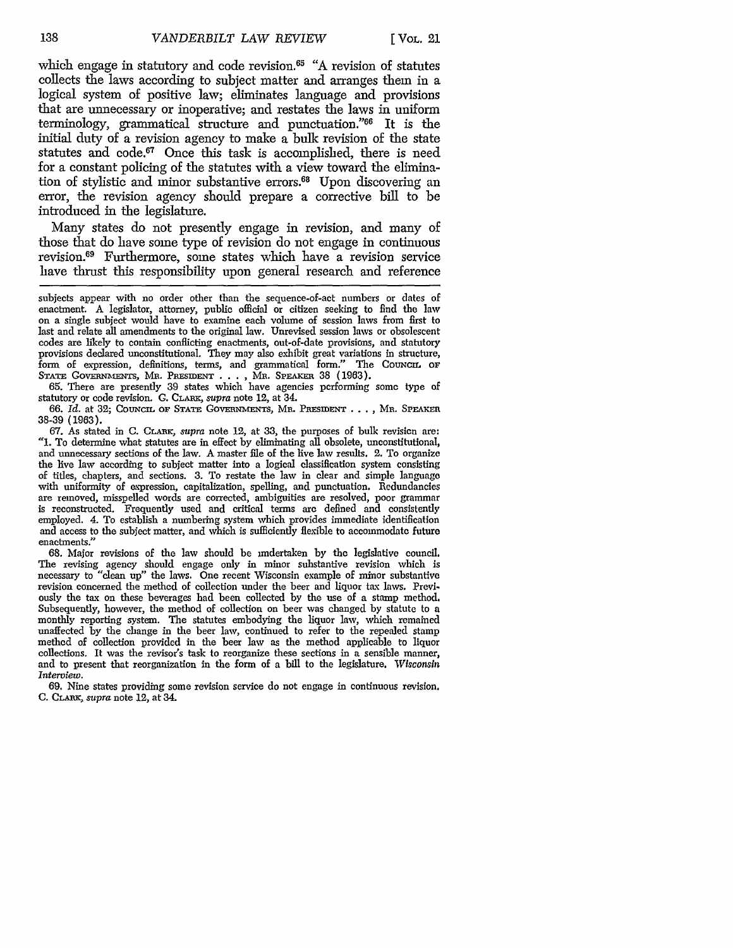which engage in statutory and code revision.<sup>65</sup> "A revision of statutes collects the laws according to subject matter and arranges them in a logical system of positive law; eliminates language and provisions that are unnecessary or inoperative; and restates the laws in uniform terminology, grammatical structure and punctuation."66 It is the initial duty of a revision agency to make a bulk revision of the state statutes and code.<sup>67</sup> Once this task is accomplished, there is need for a constant policing of the statutes with a view toward the elimination of stylistic and minor substantive errors.<sup>68</sup> Upon discovering an error, the revision agency should prepare a corrective bill to be introduced in the legislature.

Many states do not presently engage in revision, and many of those that do have some type of revision do not engage in continuous revision.69 Furthermore, some states which have a revision service have thrust this responsibility upon general research and reference

subjects appear with no order other than the sequence-of-act numbers or dates of enactment. A legislator, attorney, public official or citizen seeking to find the law on a single subject would have to examine each volume of session laws from first to last and relate all amendments to the original law. Unrevised session laws or obsolescent codes are likely to contain conflicting enactments, out-of-date provisions, and statutory provisions declared unconstitutional. They may also exhibit great variations in structure, form of expression, definitions, terms, and grammatical form." The COUNCIL OF **STATE GOVERNMEIMs,** MR. PREsmEr . **. . ,** MR. **SPEAKER** 38 (1963).

65. There are presently 39 states which have agencies performing some type of statutory or code revision. C. CLAtu, *supra* note 12, at 34.

66. *Id.* at 32; CouNcrL **oF** STATE GovEmNmENrs, MR. PREsmENT .... MR. **SprEAEn** 38-39 (1963).

67. As stated in C. CLARK, *supra* note 12, at 33, the purposes of bulk revision are: *"1.* To determine what statutes are in effect by eliminating all obsolete, unconstitutional, and unnecessary sections of the law. A master file of the live law results. 2. To organize the live law according to subject matter into a logical classification system consisting of titles, chapters, and sections. 3. To restate the law in clear and simple language of titles, chapters, and sections. 3. To restate the law in clear and simple language with uniformity of expression, capitalization, spelling, and punctuation. Redundancies are removed, misspelled words are corrected, ambiguities are resolved, poor grammar is reconstructed. Frequently used and critical terms are defined and consistently employed. 4. To establish a numbering system which provides immediate identification and access to the subject matter, and which is sufficiently flexible to accommodate future enactments."

68. Major revisions of the law should be undertaken by the legislative council. The revising agency should engage only in minor substantive revision which is necessary to "clean up" the laws. One recent Wisconsin example of minor substantive revision concerned the method of collection under the beer and liquor tax laws. Previously the tax on these beverages had been collected by the use of a stamp method, Subsequently, however, the method of collection on beer was changed by statute to a monthly reporting system. The statutes embodying the liquor law, which remained unaffected by the change in the beer law, continued to refer to the repealed stamp method of collection provided in the beer law as the method applicable to liquor collections. It was the revisor's task to reorganize these sections in a sensible manner, and to present that reorganization in the form of a bill to the legislature. *Wisconsin Interview.*

69. Nine states providing some revision service do not engage in continuous revision. C. CLARK, *supra* note 12, at 34.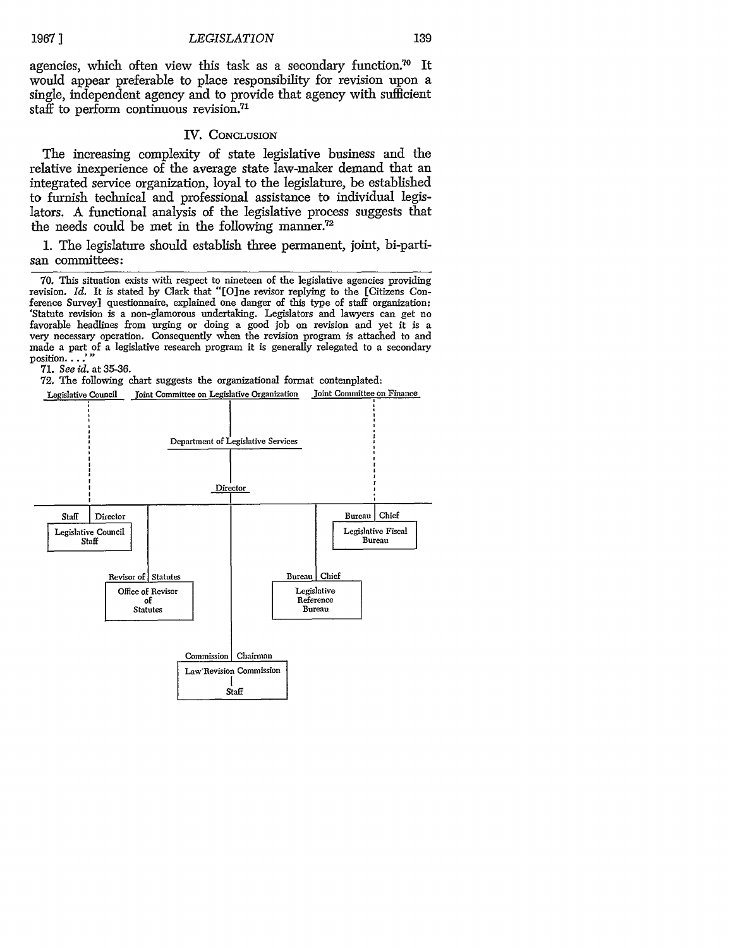139

agencies, which often view this task as a secondary function.70 It would appear preferable to place responsibility for revision upon a single, independent agency and to provide that agency with sufficient staff to perform continuous revision.<sup>71</sup>

#### **IV.** CONCLUSION

The increasing complexity of state legislative business and the relative inexperience of the average state law-maker demand that an integrated service organization, loyal to the legislature, be established to furnish technical and professional assistance to individual legislators. A functional analysis of the legislative process suggests that the needs could be met in the following manner.<sup>72</sup>

1. The legislature should establish three permanent, joint, bi-partisan committees:

70. This situation exists with respect to nineteen of the legislative agencies providing revision. *Id.* It is stated by Clark that "[O]ne revisor replying to the [Citizens Conference Survey] questionnaire, explained one danger of this type of staff organization: 'Statute revision is a non-glamorous undertaking. Legislators and lawyers can get no favorable headlines from urging or doing a good job on revision and yet it is a very necessary operation. Consequently when the revision program is attached to and made a part of a legislative research program it is generally relegated to a secondary  $\overline{\mathrm{position.}}\ldots$ 

71. *See id.* at 35-36.

72. The following chart suggests the organizational format contemplated:

Legislative Council Joint Committee on Legislative Organization Joint Committee on Finance

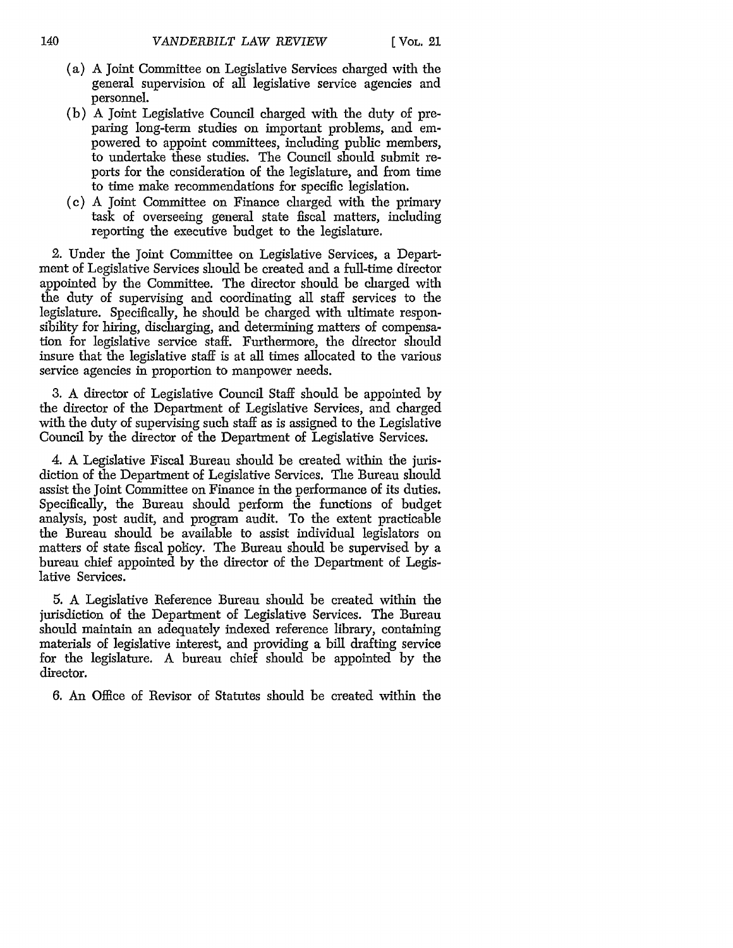- (a) A Joint Committee on Legislative Services charged with the general supervision of all legislative service agencies and personnel.
- (b) A Joint Legislative Council charged with the duty of preparing long-term studies on important problems, and empowered to appoint committees, including public members, to undertake these studies. The Council should submit reports for the consideration of the legislature, and from time to time make recommendations for specific legislation.
- (c) A Joint Committee on Finance charged with the primary task of overseeing general state fiscal matters, including reporting the executive budget to the legislature.

2. Under the Joint Committee on Legislative Services, a Department of Legislative Services should be created and a full-time director appointed by the Committee. The director should be charged with the duty of supervising and coordinating all staff services to the legislature. Specifically, he should be charged with ultimate responsibility for hiring, discharging, and determining matters of compensation for legislative service staff. Furthermore, the director should insure that the legislative staff is at all times allocated to the various service agencies in proportion to manpower needs.

3. A director of Legislative Council Staff should be appointed by the director of the Department of Legislative Services, and charged with the duty of supervising such staff as is assigned to the Legislative Council by the director of the Department of Legislative Services.

4. A Legislative Fiscal Bureau should be created within the jurisdiction of the Department of Legislative Services. The Bureau should assist the Joint Committee on Finance in the performance of its duties. Specifically, the Bureau should perform the functions of budget analysis, post audit, and program audit. To the extent practicable the Bureau should be available to assist individual legislators on matters of state fiscal policy. The Bureau should be supervised by a bureau chief appointed by the director of the Department of Legislative Services.

5. A Legislative Reference Bureau should be created within the jurisdiction of the Department of Legislative Services. The Bureau should maintain an adequately indexed reference library, containing materials of legislative interest, and providing a bill drafting service for the legislature. A bureau chief should be appointed by the director.

6. An Office of Revisor of Statutes should be created within the